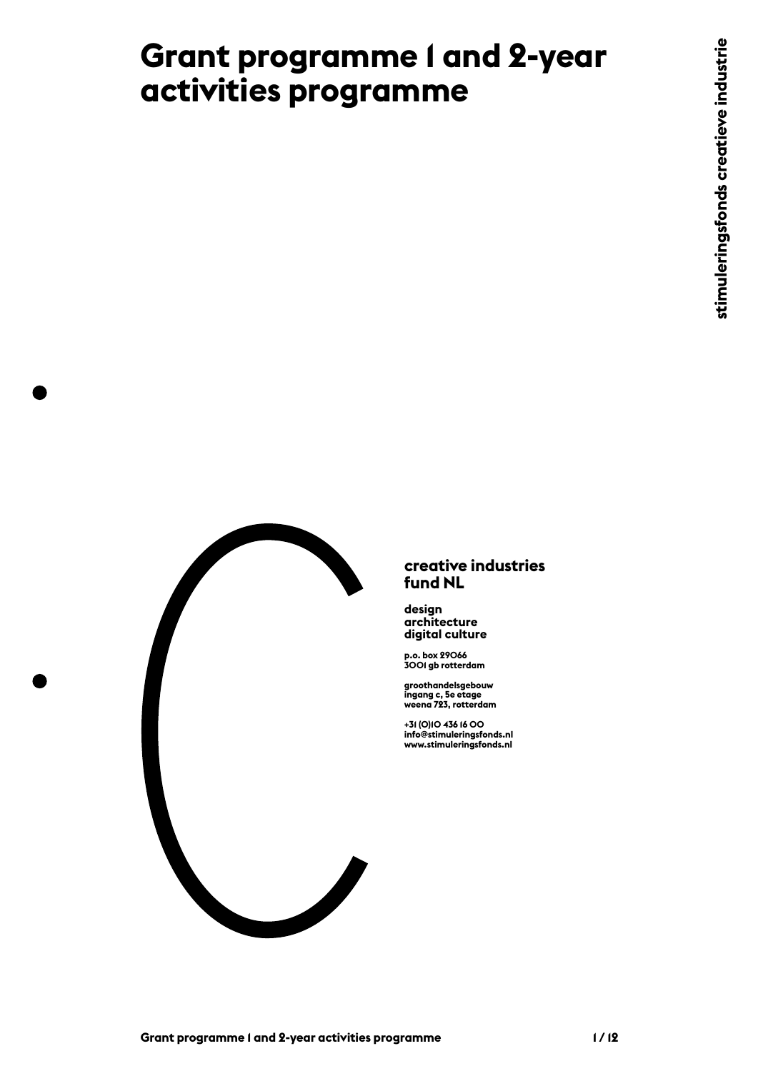# **Grant programme 1 and 2-year activities programme**



# **creative industries fund NL**

**design architecture digital culture**

**p.o. box 29066 3001 gb rotterdam**

**groothandelsgebouw ingang c, 5e etage weena 723, rotterdam**

**+31 (0)10 436 16 00 info@stimuleringsfonds.nl www.stimuleringsfonds.nl**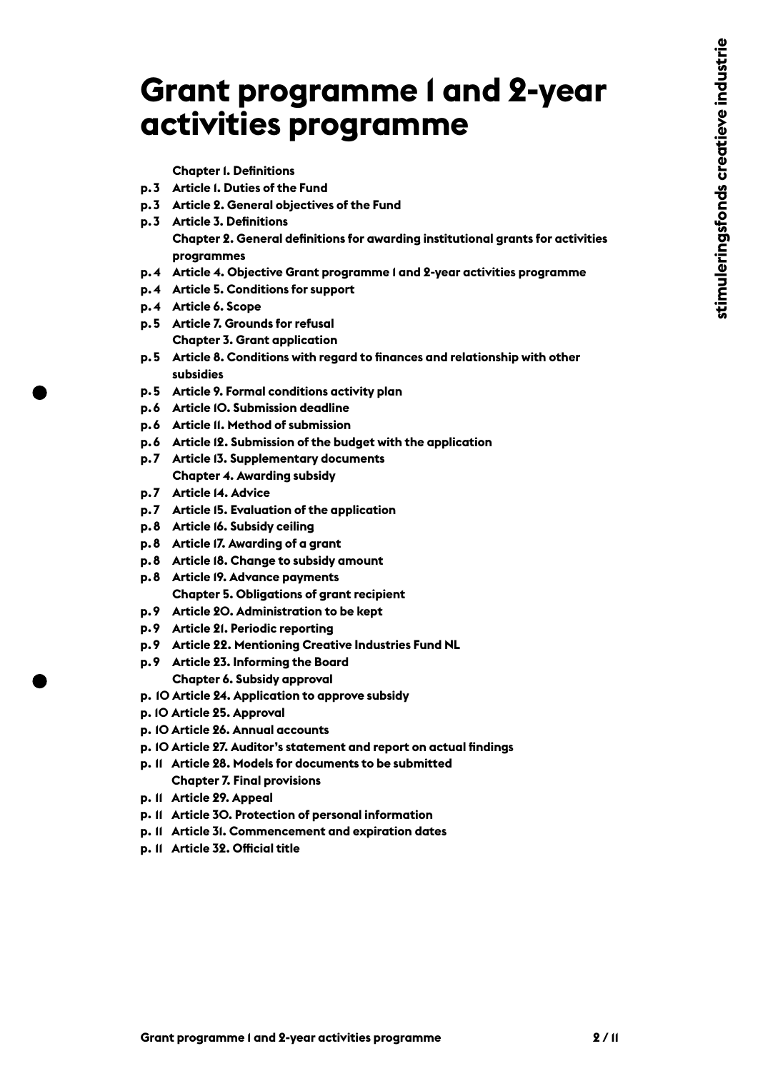# **Grant programme 1 and 2-year activities programme**

**Chapter 1. Definitions**

- **3 Article 1. Duties of the Fund p.**
- **3 Article 2. General objectives of the Fund p.**
- **3 Article 3. Definitions p. Chapter 2. General definitions for awarding institutional grants for activities programmes**
- **4 Article 4. Objective Grant programme 1 and 2-year activities programme p.**
- **4 Article 5. Conditions for support p.**
- **4 Article 6. Scope p.**
- **5 Article 7. Grounds for refusal p. Chapter 3. Grant application**
- **5 Article 8. Conditions with regard to finances and relationship with other p. subsidies**
- **5 Article 9. Formal conditions activity plan p.**
- **6 Article 10. Submission deadline p.**
- **6 Article 11. Method of submission p.**
- **6 Article 12. Submission of the budget with the application p.**
- **7 Article 13. Supplementary documents p. Chapter 4. Awarding subsidy**
- **7 Article 14. Advice p.**
- **7 Article 15. Evaluation of the application p.**
- **8 Article 16. Subsidy ceiling p.**
- **8 Article 17. Awarding of a grant p.**
- **8 Article 18. Change to subsidy amount p.**
- **8 Article 19. Advance payments p. Chapter 5. Obligations of grant recipient**
- **9 Article 20. Administration to be kept p.**
- **9 Article 21. Periodic reporting p.**
- **9 Article 22. Mentioning Creative Industries Fund NL p.**
- **9 Article 23. Informing the Board p. Chapter 6. Subsidy approval**
- **10 Article 24. Application to approve subsidy p.**
- p. 10 Article 25. Approval
- **10 Article 26. Annual accounts p.**
- **10 Article 27. Auditor's statement and report on actual findings p.**
- **11 Article 28. Models for documents to be submitted p.Chapter 7. Final provisions**
- **11 Article 29. Appeal p.**
- **11 Article 30. Protection of personal information p.**
- **11 Article 31. Commencement and expiration dates p.**
- **11 Article 32. Official title p.**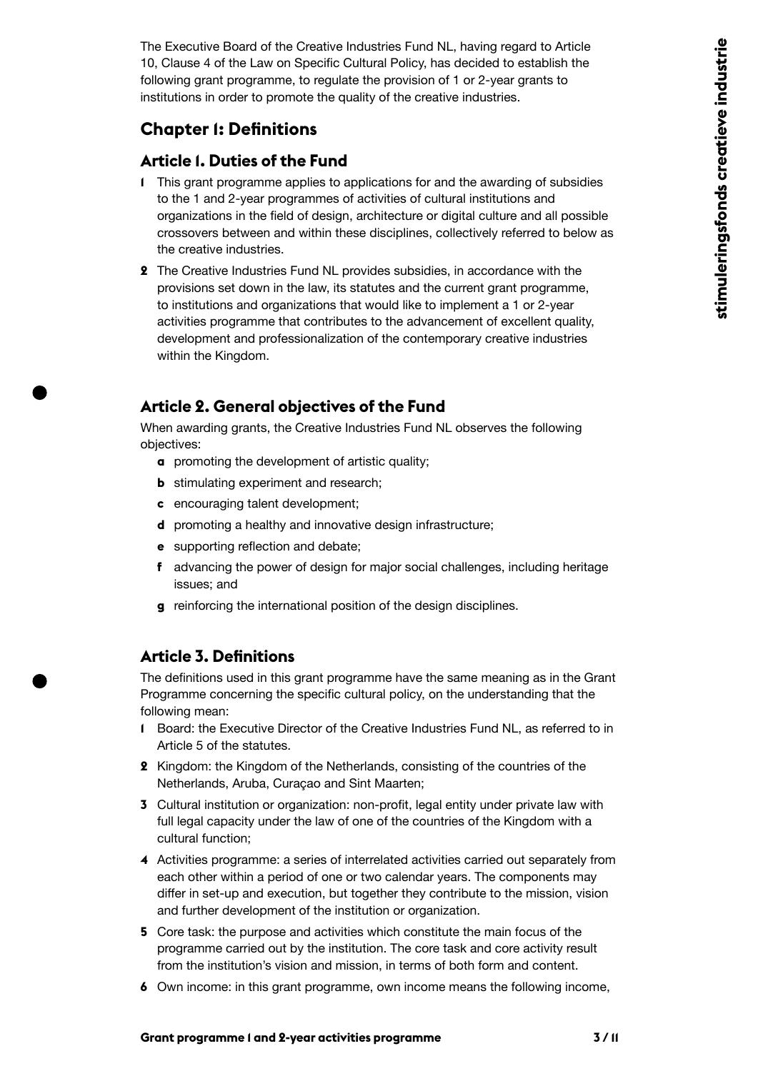The Executive Board of the Creative Industries Fund NL, having regard to Article 10, Clause 4 of the Law on Specific Cultural Policy, has decided to establish the following grant programme, to regulate the provision of 1 or 2-year grants to institutions in order to promote the quality of the creative industries.

# **Chapter 1: Definitions**

#### **Article 1. Duties of the Fund**

- **1** This grant programme applies to applications for and the awarding of subsidies to the 1 and 2-year programmes of activities of cultural institutions and organizations in the field of design, architecture or digital culture and all possible crossovers between and within these disciplines, collectively referred to below as the creative industries.
- **2** The Creative Industries Fund NL provides subsidies, in accordance with the provisions set down in the law, its statutes and the current grant programme, to institutions and organizations that would like to implement a 1 or 2-year activities programme that contributes to the advancement of excellent quality, development and professionalization of the contemporary creative industries within the Kingdom.

# **Article 2. General objectives of the Fund**

When awarding grants, the Creative Industries Fund NL observes the following objectives:

- **a** promoting the development of artistic quality;
- **b** stimulating experiment and research;
- **c** encouraging talent development;
- **d** promoting a healthy and innovative design infrastructure;
- **e** supporting reflection and debate;
- **f** advancing the power of design for major social challenges, including heritage issues; and
- **g** reinforcing the international position of the design disciplines.

#### **Article 3. Definitions**

The definitions used in this grant programme have the same meaning as in the Grant Programme concerning the specific cultural policy, on the understanding that the following mean:

- **1** Board: the Executive Director of the Creative Industries Fund NL, as referred to in Article 5 of the statutes.
- **2** Kingdom: the Kingdom of the Netherlands, consisting of the countries of the Netherlands, Aruba, Curaçao and Sint Maarten;
- **3** Cultural institution or organization: non-profit, legal entity under private law with full legal capacity under the law of one of the countries of the Kingdom with a cultural function;
- **4** Activities programme: a series of interrelated activities carried out separately from each other within a period of one or two calendar years. The components may differ in set-up and execution, but together they contribute to the mission, vision and further development of the institution or organization.
- **5** Core task: the purpose and activities which constitute the main focus of the programme carried out by the institution. The core task and core activity result from the institution's vision and mission, in terms of both form and content.
- **6** Own income: in this grant programme, own income means the following income,

#### **Grant programme 1 and 2-year activities programme 3 / 11**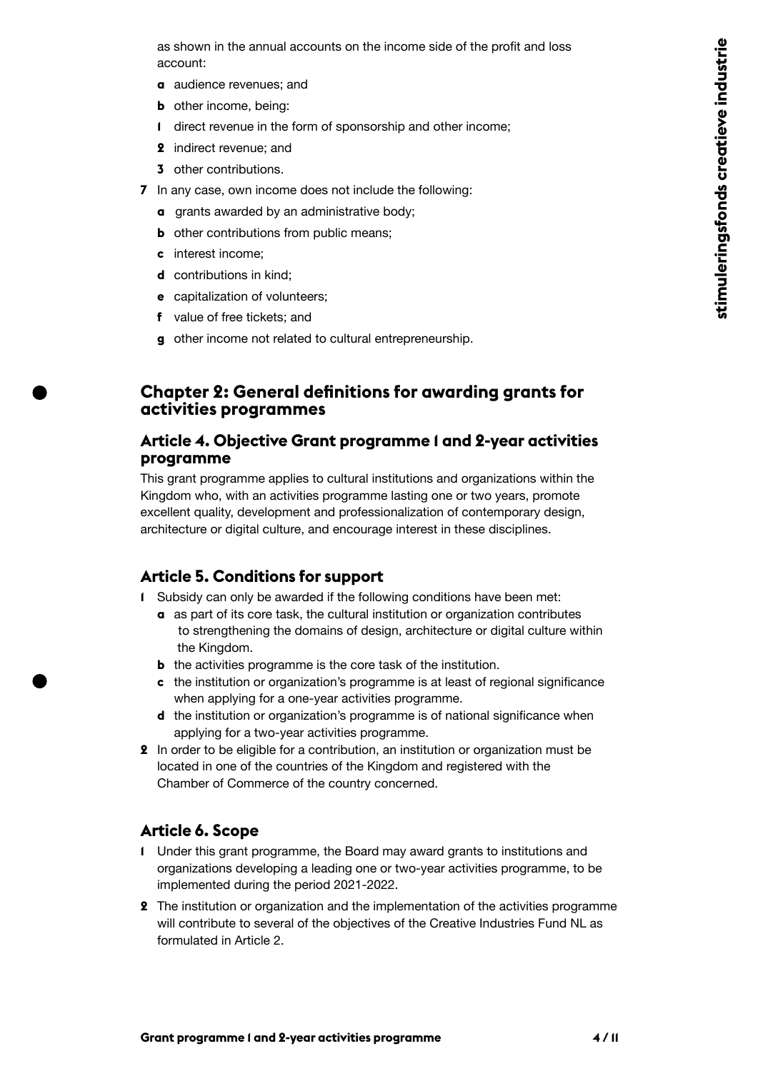as shown in the annual accounts on the income side of the profit and loss account:

- **a** audience revenues; and
- **b** other income, being:
- **1** direct revenue in the form of sponsorship and other income;
- **2** indirect revenue; and
- **3** other contributions.
- **7** In any case, own income does not include the following:
	- **a** grants awarded by an administrative body;
	- **b** other contributions from public means;
	- **c** interest income;
	- **d** contributions in kind;
	- **e** capitalization of volunteers;
	- **f** value of free tickets; and
	- **g** other income not related to cultural entrepreneurship.

# **Chapter 2: General definitions for awarding grants for activities programmes**

#### **Article 4. Objective Grant programme 1 and 2-year activities programme**

This grant programme applies to cultural institutions and organizations within the Kingdom who, with an activities programme lasting one or two years, promote excellent quality, development and professionalization of contemporary design, architecture or digital culture, and encourage interest in these disciplines.

#### **Article 5. Conditions for support**

- **1** Subsidy can only be awarded if the following conditions have been met:
	- **a** as part of its core task, the cultural institution or organization contributes to strengthening the domains of design, architecture or digital culture within the Kingdom.
	- **b** the activities programme is the core task of the institution.
	- **c** the institution or organization's programme is at least of regional significance when applying for a one-year activities programme.
	- **d** the institution or organization's programme is of national significance when applying for a two-year activities programme.
- **2** In order to be eligible for a contribution, an institution or organization must be located in one of the countries of the Kingdom and registered with the Chamber of Commerce of the country concerned.

#### **Article 6. Scope**

- **1** Under this grant programme, the Board may award grants to institutions and organizations developing a leading one or two-year activities programme, to be implemented during the period 2021-2022.
- **2** The institution or organization and the implementation of the activities programme will contribute to several of the objectives of the Creative Industries Fund NL as formulated in Article 2.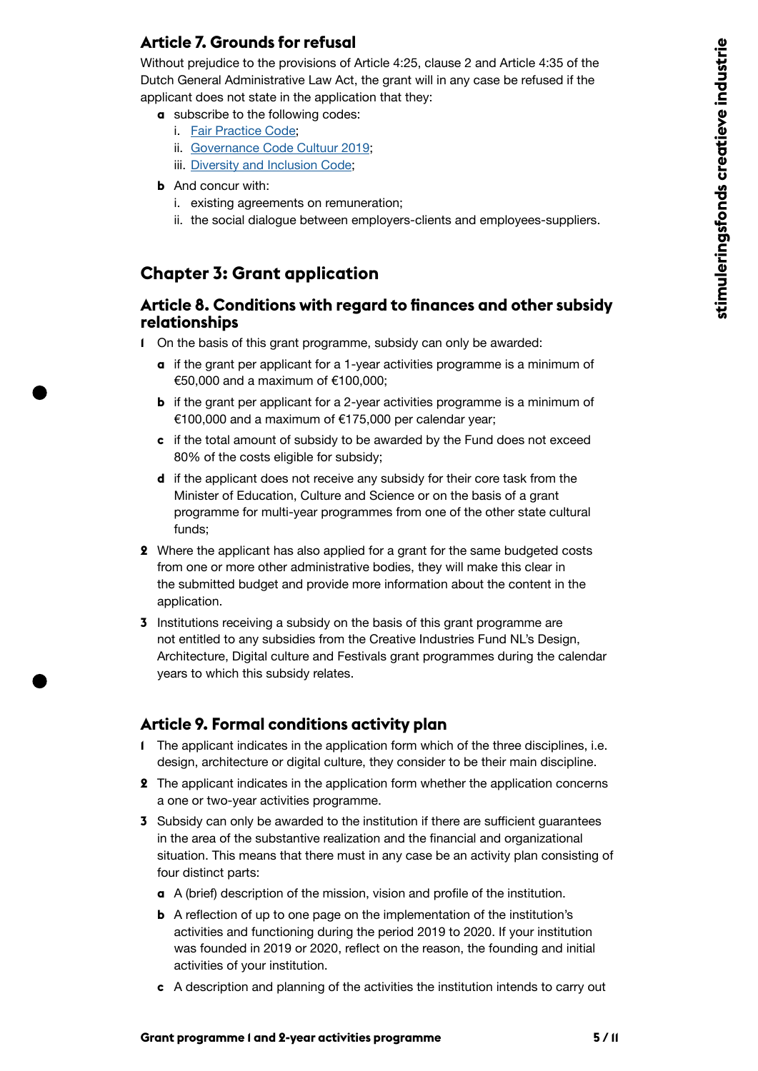# **Article 7. Grounds for refusal**

Without prejudice to the provisions of Article 4:25, clause 2 and Article 4:35 of the Dutch General Administrative Law Act, the grant will in any case be refused if the applicant does not state in the application that they:

- **a** subscribe to the following codes:
	- i. [Fair Practice Code](https://fairpracticecode.nl/nl);
	- ii. [Governance Code Cultuur 2019](https://bij.cultuur-ondernemen.nl/storage/media/Governance-Code-Cultuur-2019_NL_download-versie.pdf);
	- iii. [Diversity and Inclusi](https://codedi.nl/)on Code;
- **b** And concur with:
	- i. existing agreements on remuneration;
	- ii. the social dialogue between employers-clients and employees-suppliers.

# **Chapter 3: Grant application**

#### **Article 8. Conditions with regard to finances and other subsidy relationships**

- **1** On the basis of this grant programme, subsidy can only be awarded:
	- **a** if the grant per applicant for a 1-year activities programme is a minimum of €50,000 and a maximum of €100,000;
	- **b** if the grant per applicant for a 2-year activities programme is a minimum of €100,000 and a maximum of €175,000 per calendar year;
	- **c** if the total amount of subsidy to be awarded by the Fund does not exceed 80% of the costs eligible for subsidy;
	- **d** if the applicant does not receive any subsidy for their core task from the Minister of Education, Culture and Science or on the basis of a grant programme for multi-year programmes from one of the other state cultural funds;
- **2** Where the applicant has also applied for a grant for the same budgeted costs from one or more other administrative bodies, they will make this clear in the submitted budget and provide more information about the content in the application.
- **3** Institutions receiving a subsidy on the basis of this grant programme are not entitled to any subsidies from the Creative Industries Fund NL's Design, Architecture, Digital culture and Festivals grant programmes during the calendar years to which this subsidy relates.

# **Article 9. Formal conditions activity plan**

- **1** The applicant indicates in the application form which of the three disciplines, i.e. design, architecture or digital culture, they consider to be their main discipline.
- **2** The applicant indicates in the application form whether the application concerns a one or two-year activities programme.
- **3** Subsidy can only be awarded to the institution if there are sufficient guarantees in the area of the substantive realization and the financial and organizational situation. This means that there must in any case be an activity plan consisting of four distinct parts:
	- **a** A (brief) description of the mission, vision and profile of the institution.
	- **b** A reflection of up to one page on the implementation of the institution's activities and functioning during the period 2019 to 2020. If your institution was founded in 2019 or 2020, reflect on the reason, the founding and initial activities of your institution.
	- **c** A description and planning of the activities the institution intends to carry out

#### **Grant programme 1 and 2-year activities programme 5 / 11**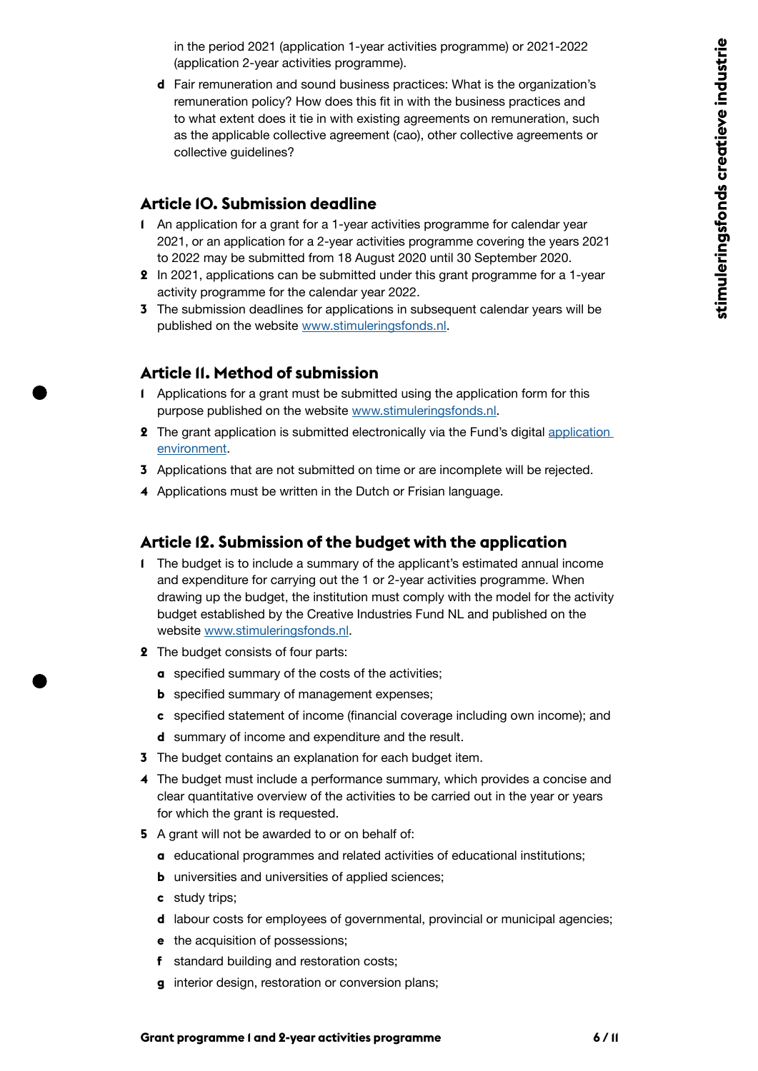in the period 2021 (application 1-year activities programme) or 2021-2022 (application 2-year activities programme).

**d** Fair remuneration and sound business practices: What is the organization's remuneration policy? How does this fit in with the business practices and to what extent does it tie in with existing agreements on remuneration, such as the applicable collective agreement (cao), other collective agreements or collective guidelines?

#### **Article 10. Submission deadline**

- **1** An application for a grant for a 1-year activities programme for calendar year 2021, or an application for a 2-year activities programme covering the years 2021 to 2022 may be submitted from 18 August 2020 until 30 September 2020.
- **2** In 2021, applications can be submitted under this grant programme for a 1-year activity programme for the calendar year 2022.
- **3** The submission deadlines for applications in subsequent calendar years will be published on the website [www.stimuleringsfonds.nl.](https://stimuleringsfonds.nl/)

#### **Article 11. Method of submission**

- **1** Applications for a grant must be submitted using the application form for this purpose published on the website [www.stimuleringsfonds.nl.](https://stimuleringsfonds.nl/)
- **2** The grant application is submitted electronically via the Fund's digital [application](https://aanvragen.stimuleringsfonds.nl/)  [environment](https://aanvragen.stimuleringsfonds.nl/).
- **3** Applications that are not submitted on time or are incomplete will be rejected.
- **4** Applications must be written in the Dutch or Frisian language.

#### **Article 12. Submission of the budget with the application**

- **1** The budget is to include a summary of the applicant's estimated annual income and expenditure for carrying out the 1 or 2-year activities programme. When drawing up the budget, the institution must comply with the model for the activity budget established by the Creative Industries Fund NL and published on the website [www.stimuleringsfonds.nl](https://stimuleringsfonds.nl/).
- **2** The budget consists of four parts:
	- **a** specified summary of the costs of the activities;
	- **b** specified summary of management expenses;
	- **c** specified statement of income (financial coverage including own income); and
	- **d** summary of income and expenditure and the result.
- **3** The budget contains an explanation for each budget item.
- **4** The budget must include a performance summary, which provides a concise and clear quantitative overview of the activities to be carried out in the year or years for which the grant is requested.
- **5** A grant will not be awarded to or on behalf of:
	- **a** educational programmes and related activities of educational institutions;
	- **b** universities and universities of applied sciences;
	- **c** study trips;
	- **d** labour costs for employees of governmental, provincial or municipal agencies;
	- **e** the acquisition of possessions;
	- **f** standard building and restoration costs;
	- **g** interior design, restoration or conversion plans;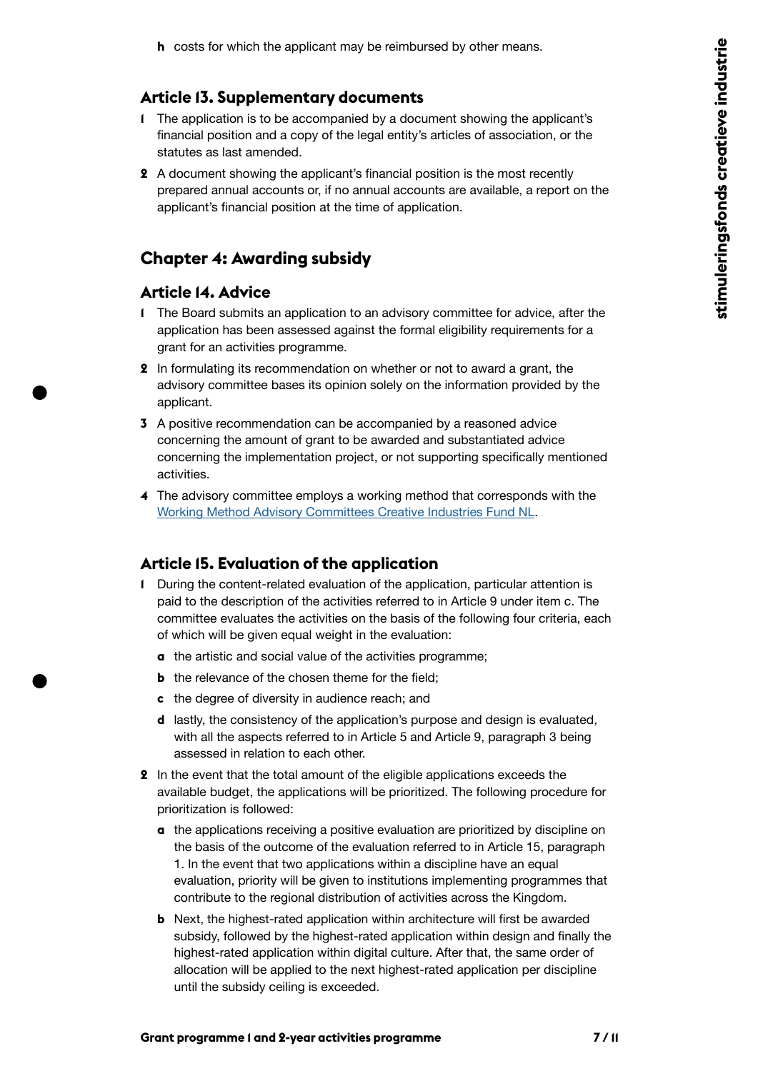#### **Article 13. Supplementary documents**

- **1** The application is to be accompanied by a document showing the applicant's financial position and a copy of the legal entity's articles of association, or the statutes as last amended.
- **2** A document showing the applicant's financial position is the most recently prepared annual accounts or, if no annual accounts are available, a report on the applicant's financial position at the time of application.

# **Chapter 4: Awarding subsidy**

#### **Article 14. Advice**

- **1** The Board submits an application to an advisory committee for advice, after the application has been assessed against the formal eligibility requirements for a grant for an activities programme.
- **2** In formulating its recommendation on whether or not to award a grant, the advisory committee bases its opinion solely on the information provided by the applicant.
- **3** A positive recommendation can be accompanied by a reasoned advice concerning the amount of grant to be awarded and substantiated advice concerning the implementation project, or not supporting specifically mentioned activities.
- **4** The advisory committee employs a working method that corresponds with the [Working Method Advisory Committees Creative Industries Fund NL](https://content.stimuleringsfonds.nl/files/nvg/i_044/sciwerkwijzecommissiesenadviescommissies.pdf/).

#### **Article 15. Evaluation of the application**

- **1** During the content-related evaluation of the application, particular attention is paid to the description of the activities referred to in Article 9 under item c. The committee evaluates the activities on the basis of the following four criteria, each of which will be given equal weight in the evaluation:
	- **a** the artistic and social value of the activities programme;
	- **b** the relevance of the chosen theme for the field;
	- **c** the degree of diversity in audience reach; and
	- **d** lastly, the consistency of the application's purpose and design is evaluated, with all the aspects referred to in Article 5 and Article 9, paragraph 3 being assessed in relation to each other.
- **2** In the event that the total amount of the eligible applications exceeds the available budget, the applications will be prioritized. The following procedure for prioritization is followed:
	- **a** the applications receiving a positive evaluation are prioritized by discipline on the basis of the outcome of the evaluation referred to in Article 15, paragraph 1. In the event that two applications within a discipline have an equal evaluation, priority will be given to institutions implementing programmes that contribute to the regional distribution of activities across the Kingdom.
	- **b** Next, the highest-rated application within architecture will first be awarded subsidy, followed by the highest-rated application within design and finally the highest-rated application within digital culture. After that, the same order of allocation will be applied to the next highest-rated application per discipline until the subsidy ceiling is exceeded.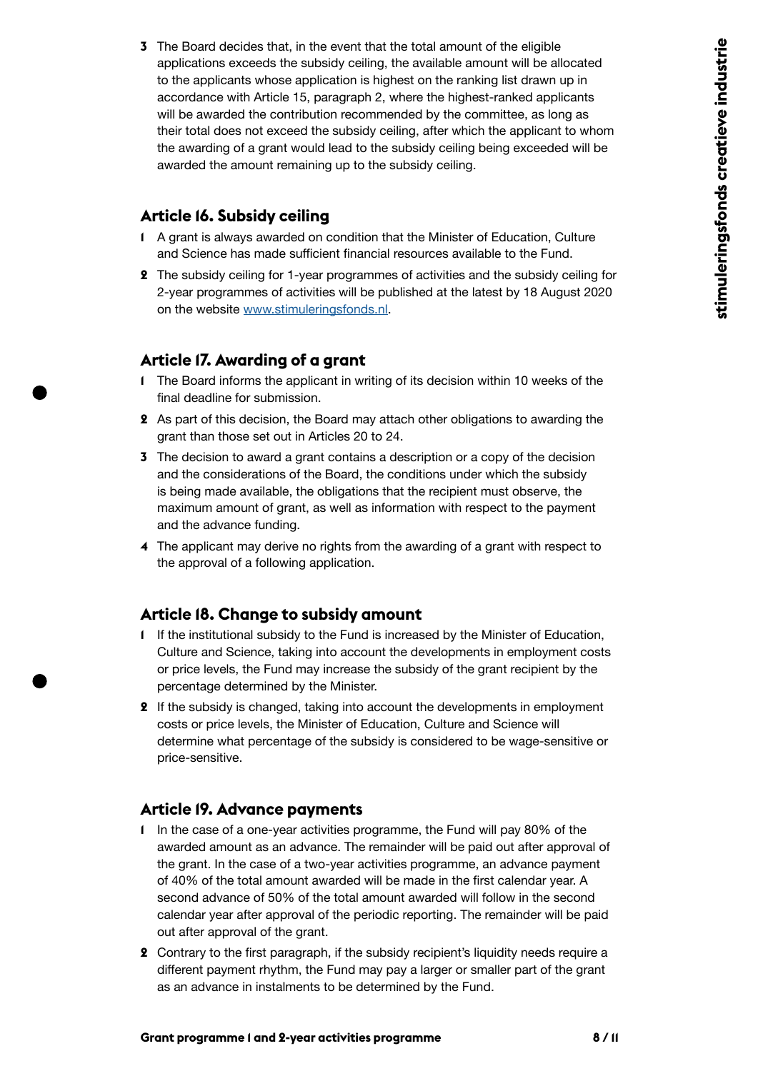**3** The Board decides that, in the event that the total amount of the eligible applications exceeds the subsidy ceiling, the available amount will be allocated to the applicants whose application is highest on the ranking list drawn up in accordance with Article 15, paragraph 2, where the highest-ranked applicants will be awarded the contribution recommended by the committee, as long as their total does not exceed the subsidy ceiling, after which the applicant to whom the awarding of a grant would lead to the subsidy ceiling being exceeded will be awarded the amount remaining up to the subsidy ceiling.

# **Article 16. Subsidy ceiling**

- **1** A grant is always awarded on condition that the Minister of Education, Culture and Science has made sufficient financial resources available to the Fund.
- **2** The subsidy ceiling for 1-year programmes of activities and the subsidy ceiling for 2-year programmes of activities will be published at the latest by 18 August 2020 on the website [www.stimuleringsfonds.nl.](http://www.stimuleringsfonds.nl)

# **Article 17. Awarding of a grant**

- **1** The Board informs the applicant in writing of its decision within 10 weeks of the final deadline for submission.
- **2** As part of this decision, the Board may attach other obligations to awarding the grant than those set out in Articles 20 to 24.
- **3** The decision to award a grant contains a description or a copy of the decision and the considerations of the Board, the conditions under which the subsidy is being made available, the obligations that the recipient must observe, the maximum amount of grant, as well as information with respect to the payment and the advance funding.
- **4** The applicant may derive no rights from the awarding of a grant with respect to the approval of a following application.

# **Article 18. Change to subsidy amount**

- **1** If the institutional subsidy to the Fund is increased by the Minister of Education, Culture and Science, taking into account the developments in employment costs or price levels, the Fund may increase the subsidy of the grant recipient by the percentage determined by the Minister.
- **2** If the subsidy is changed, taking into account the developments in employment costs or price levels, the Minister of Education, Culture and Science will determine what percentage of the subsidy is considered to be wage-sensitive or price-sensitive.

#### **Article 19. Advance payments**

- **1** In the case of a one-year activities programme, the Fund will pay 80% of the awarded amount as an advance. The remainder will be paid out after approval of the grant. In the case of a two-year activities programme, an advance payment of 40% of the total amount awarded will be made in the first calendar year. A second advance of 50% of the total amount awarded will follow in the second calendar year after approval of the periodic reporting. The remainder will be paid out after approval of the grant.
- **2** Contrary to the first paragraph, if the subsidy recipient's liquidity needs require a different payment rhythm, the Fund may pay a larger or smaller part of the grant as an advance in instalments to be determined by the Fund.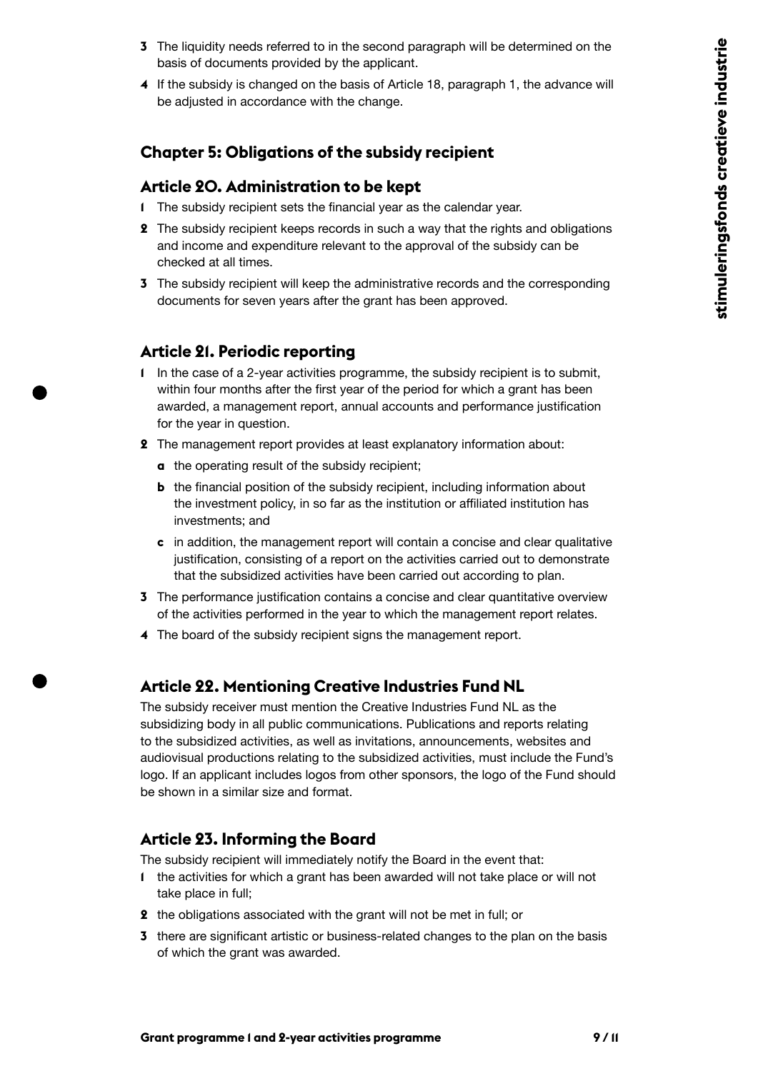- **3** The liquidity needs referred to in the second paragraph will be determined on the basis of documents provided by the applicant.
- **4** If the subsidy is changed on the basis of Article 18, paragraph 1, the advance will be adjusted in accordance with the change.

# **Chapter 5: Obligations of the subsidy recipient**

#### **Article 20. Administration to be kept**

- **1** The subsidy recipient sets the financial year as the calendar year.
- **2** The subsidy recipient keeps records in such a way that the rights and obligations and income and expenditure relevant to the approval of the subsidy can be checked at all times.
- **3** The subsidy recipient will keep the administrative records and the corresponding documents for seven years after the grant has been approved.

# **Article 21. Periodic reporting**

- **1** In the case of a 2-year activities programme, the subsidy recipient is to submit, within four months after the first year of the period for which a grant has been awarded, a management report, annual accounts and performance justification for the year in question.
- **2** The management report provides at least explanatory information about:
	- **a** the operating result of the subsidy recipient;
	- **b** the financial position of the subsidy recipient, including information about the investment policy, in so far as the institution or affiliated institution has investments; and
	- **c** in addition, the management report will contain a concise and clear qualitative justification, consisting of a report on the activities carried out to demonstrate that the subsidized activities have been carried out according to plan.
- **3** The performance justification contains a concise and clear quantitative overview of the activities performed in the year to which the management report relates.
- **4** The board of the subsidy recipient signs the management report.

# **Article 22. Mentioning Creative Industries Fund NL**

The subsidy receiver must mention the Creative Industries Fund NL as the subsidizing body in all public communications. Publications and reports relating to the subsidized activities, as well as invitations, announcements, websites and audiovisual productions relating to the subsidized activities, must include the Fund's logo. If an applicant includes logos from other sponsors, the logo of the Fund should be shown in a similar size and format.

# **Article 23. Informing the Board**

The subsidy recipient will immediately notify the Board in the event that:

- **1** the activities for which a grant has been awarded will not take place or will not take place in full;
- **2** the obligations associated with the grant will not be met in full; or
- **3** there are significant artistic or business-related changes to the plan on the basis of which the grant was awarded.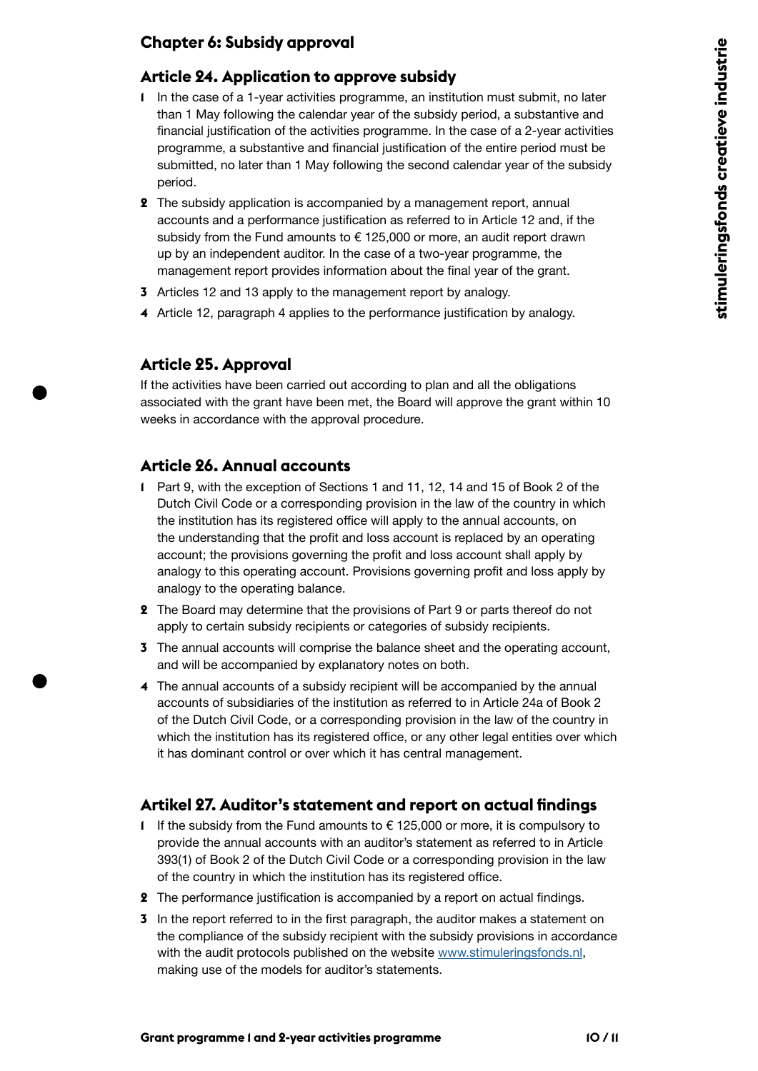# **Chapter 6: Subsidy approval**

# **Article 24. Application to approve subsidy**

- **1** In the case of a 1-year activities programme, an institution must submit, no later than 1 May following the calendar year of the subsidy period, a substantive and financial justification of the activities programme. In the case of a 2-year activities programme, a substantive and financial justification of the entire period must be submitted, no later than 1 May following the second calendar year of the subsidy period.
- **2** The subsidy application is accompanied by a management report, annual accounts and a performance justification as referred to in Article 12 and, if the subsidy from the Fund amounts to € 125,000 or more, an audit report drawn up by an independent auditor. In the case of a two-year programme, the management report provides information about the final year of the grant.
- **3** Articles 12 and 13 apply to the management report by analogy.
- **4** Article 12, paragraph 4 applies to the performance justification by analogy.

#### **Article 25. Approval**

If the activities have been carried out according to plan and all the obligations associated with the grant have been met, the Board will approve the grant within 10 weeks in accordance with the approval procedure.

#### **Article 26. Annual accounts**

- **1** Part 9, with the exception of Sections 1 and 11, 12, 14 and 15 of Book 2 of the Dutch Civil Code or a corresponding provision in the law of the country in which the institution has its registered office will apply to the annual accounts, on the understanding that the profit and loss account is replaced by an operating account; the provisions governing the profit and loss account shall apply by analogy to this operating account. Provisions governing profit and loss apply by analogy to the operating balance.
- **2** The Board may determine that the provisions of Part 9 or parts thereof do not apply to certain subsidy recipients or categories of subsidy recipients.
- **3** The annual accounts will comprise the balance sheet and the operating account, and will be accompanied by explanatory notes on both.
- **4** The annual accounts of a subsidy recipient will be accompanied by the annual accounts of subsidiaries of the institution as referred to in Article 24a of Book 2 of the Dutch Civil Code, or a corresponding provision in the law of the country in which the institution has its registered office, or any other legal entities over which it has dominant control or over which it has central management.

#### **Artikel 27. Auditor's statement and report on actual findings**

- **1** If the subsidy from the Fund amounts to € 125,000 or more, it is compulsory to provide the annual accounts with an auditor's statement as referred to in Article 393(1) of Book 2 of the Dutch Civil Code or a corresponding provision in the law of the country in which the institution has its registered office.
- **2** The performance justification is accompanied by a report on actual findings.
- **3** In the report referred to in the first paragraph, the auditor makes a statement on the compliance of the subsidy recipient with the subsidy provisions in accordance with the audit protocols published on the website [www.stimuleringsfonds.nl](http://www. stimuleringsfonds.nl/), making use of the models for auditor's statements.